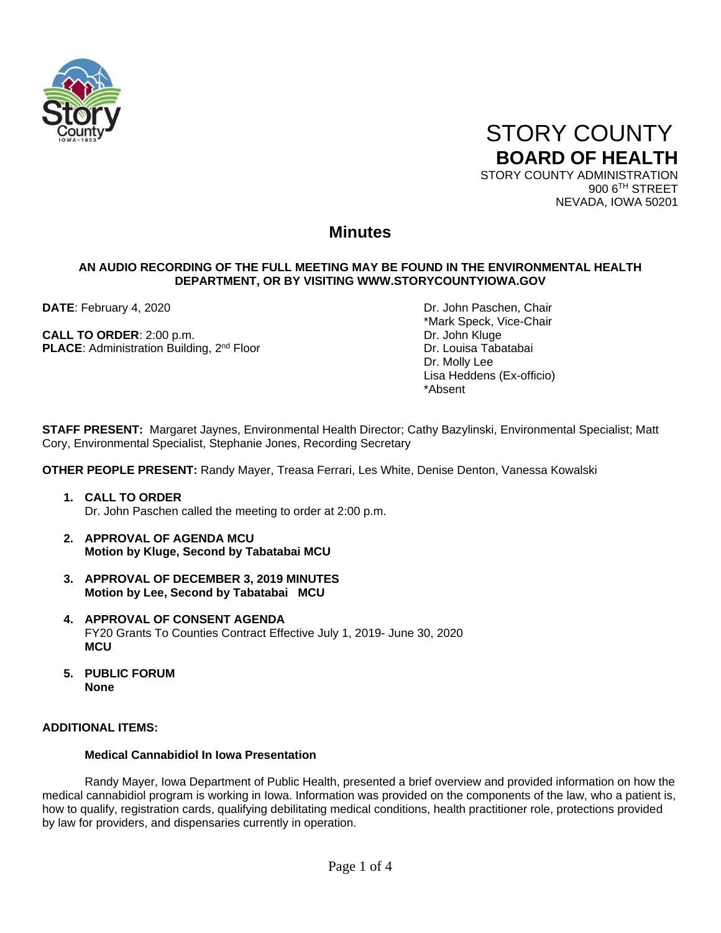



900 6TH STREET NEVADA, IOWA 50201

# **Minutes**

## **AN AUDIO RECORDING OF THE FULL MEETING MAY BE FOUND IN THE ENVIRONMENTAL HEALTH DEPARTMENT, OR BY VISITING WWW.STORYCOUNTYIOWA.GOV**

**CALL TO ORDER:** 2:00 p.m. **Dr. John Kluge PLACE:** Administration Building, 2<sup>nd</sup> Floor Dr. Louisa Tabatabai

**DATE**: February 4, 2020 **DRI DATE: February 4, 2020** \*Mark Speck, Vice-Chair Dr. Molly Lee Lisa Heddens (Ex-officio) \*Absent

**STAFF PRESENT:** Margaret Jaynes, Environmental Health Director; Cathy Bazylinski, Environmental Specialist; Matt Cory, Environmental Specialist, Stephanie Jones, Recording Secretary

**OTHER PEOPLE PRESENT:** Randy Mayer, Treasa Ferrari, Les White, Denise Denton, Vanessa Kowalski

- **1. CALL TO ORDER**  Dr. John Paschen called the meeting to order at 2:00 p.m.
- **2. APPROVAL OF AGENDA MCU Motion by Kluge, Second by Tabatabai MCU**
- **3. APPROVAL OF DECEMBER 3, 2019 MINUTES Motion by Lee, Second by Tabatabai MCU**
- **4. APPROVAL OF CONSENT AGENDA** FY20 Grants To Counties Contract Effective July 1, 2019- June 30, 2020 **MCU**
- **5. PUBLIC FORUM None**

### **ADDITIONAL ITEMS:**

#### **Medical Cannabidiol In Iowa Presentation**

Randy Mayer, Iowa Department of Public Health, presented a brief overview and provided information on how the medical cannabidiol program is working in Iowa. Information was provided on the components of the law, who a patient is, how to qualify, registration cards, qualifying debilitating medical conditions, health practitioner role, protections provided by law for providers, and dispensaries currently in operation.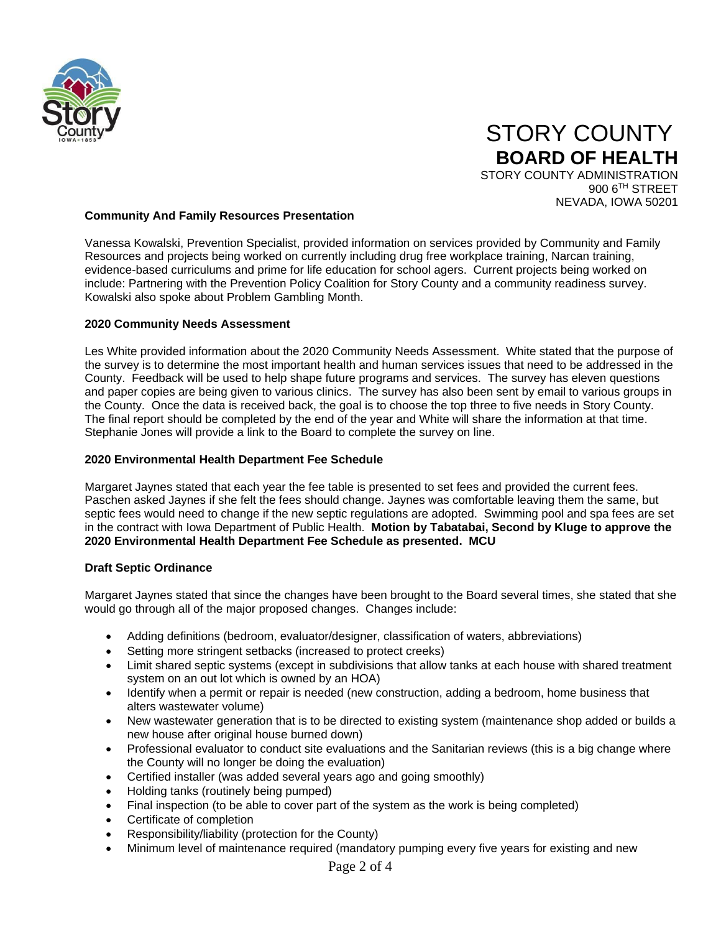

# STORY COUNTY **BOARD OF HEALTH** STORY COUNTY ADMINISTRATION 900 6TH STREET

NEVADA, IOWA 50201

#### **Community And Family Resources Presentation**

Vanessa Kowalski, Prevention Specialist, provided information on services provided by Community and Family Resources and projects being worked on currently including drug free workplace training, Narcan training, evidence-based curriculums and prime for life education for school agers. Current projects being worked on include: Partnering with the Prevention Policy Coalition for Story County and a community readiness survey. Kowalski also spoke about Problem Gambling Month.

#### **2020 Community Needs Assessment**

Les White provided information about the 2020 Community Needs Assessment. White stated that the purpose of the survey is to determine the most important health and human services issues that need to be addressed in the County. Feedback will be used to help shape future programs and services. The survey has eleven questions and paper copies are being given to various clinics. The survey has also been sent by email to various groups in the County. Once the data is received back, the goal is to choose the top three to five needs in Story County. The final report should be completed by the end of the year and White will share the information at that time. Stephanie Jones will provide a link to the Board to complete the survey on line.

#### **2020 Environmental Health Department Fee Schedule**

Margaret Jaynes stated that each year the fee table is presented to set fees and provided the current fees. Paschen asked Jaynes if she felt the fees should change. Jaynes was comfortable leaving them the same, but septic fees would need to change if the new septic regulations are adopted. Swimming pool and spa fees are set in the contract with Iowa Department of Public Health. **Motion by Tabatabai, Second by Kluge to approve the 2020 Environmental Health Department Fee Schedule as presented. MCU**

#### **Draft Septic Ordinance**

Margaret Jaynes stated that since the changes have been brought to the Board several times, she stated that she would go through all of the major proposed changes. Changes include:

- Adding definitions (bedroom, evaluator/designer, classification of waters, abbreviations)
- Setting more stringent setbacks (increased to protect creeks)
- Limit shared septic systems (except in subdivisions that allow tanks at each house with shared treatment system on an out lot which is owned by an HOA)
- Identify when a permit or repair is needed (new construction, adding a bedroom, home business that alters wastewater volume)
- New wastewater generation that is to be directed to existing system (maintenance shop added or builds a new house after original house burned down)
- Professional evaluator to conduct site evaluations and the Sanitarian reviews (this is a big change where the County will no longer be doing the evaluation)
- Certified installer (was added several years ago and going smoothly)
- Holding tanks (routinely being pumped)
- Final inspection (to be able to cover part of the system as the work is being completed)
- Certificate of completion
- Responsibility/liability (protection for the County)
- Minimum level of maintenance required (mandatory pumping every five years for existing and new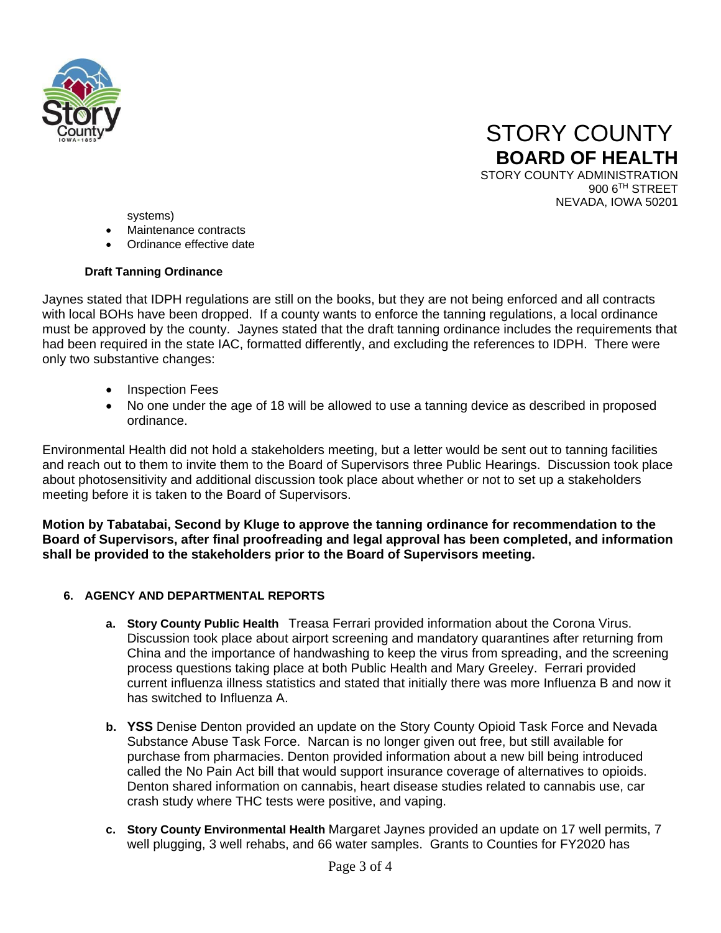



systems)

- Maintenance contracts
- Ordinance effective date

## **Draft Tanning Ordinance**

Jaynes stated that IDPH regulations are still on the books, but they are not being enforced and all contracts with local BOHs have been dropped. If a county wants to enforce the tanning regulations, a local ordinance must be approved by the county. Jaynes stated that the draft tanning ordinance includes the requirements that had been required in the state IAC, formatted differently, and excluding the references to IDPH. There were only two substantive changes:

- Inspection Fees
- No one under the age of 18 will be allowed to use a tanning device as described in proposed ordinance.

Environmental Health did not hold a stakeholders meeting, but a letter would be sent out to tanning facilities and reach out to them to invite them to the Board of Supervisors three Public Hearings. Discussion took place about photosensitivity and additional discussion took place about whether or not to set up a stakeholders meeting before it is taken to the Board of Supervisors.

**Motion by Tabatabai, Second by Kluge to approve the tanning ordinance for recommendation to the Board of Supervisors, after final proofreading and legal approval has been completed, and information shall be provided to the stakeholders prior to the Board of Supervisors meeting.**

# **6. AGENCY AND DEPARTMENTAL REPORTS**

- **a. Story County Public Health** Treasa Ferrari provided information about the Corona Virus. Discussion took place about airport screening and mandatory quarantines after returning from China and the importance of handwashing to keep the virus from spreading, and the screening process questions taking place at both Public Health and Mary Greeley. Ferrari provided current influenza illness statistics and stated that initially there was more Influenza B and now it has switched to Influenza A.
- **b. YSS** Denise Denton provided an update on the Story County Opioid Task Force and Nevada Substance Abuse Task Force. Narcan is no longer given out free, but still available for purchase from pharmacies. Denton provided information about a new bill being introduced called the No Pain Act bill that would support insurance coverage of alternatives to opioids. Denton shared information on cannabis, heart disease studies related to cannabis use, car crash study where THC tests were positive, and vaping.
- **c. Story County Environmental Health** Margaret Jaynes provided an update on 17 well permits, 7 well plugging, 3 well rehabs, and 66 water samples. Grants to Counties for FY2020 has